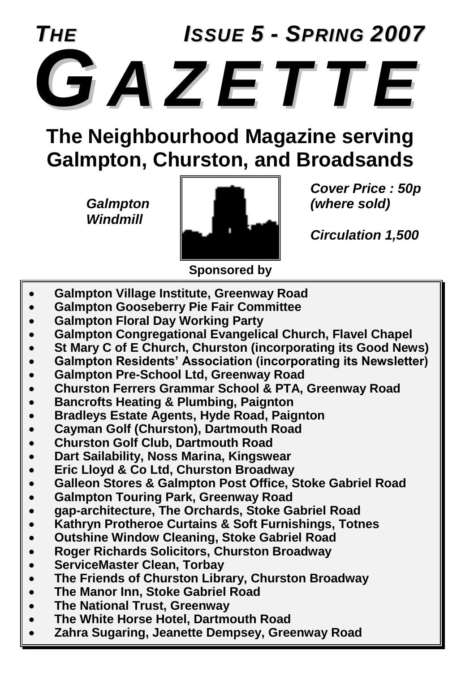

**The Neighbourhood Magazine serving Galmpton, Churston, and Broadsands**

*Windmill*



*Cover Price : 50p*

*Circulation 1,500*

**Sponsored by**

- **Galmpton Village Institute, Greenway Road**
- **Galmpton Gooseberry Pie Fair Committee**
- **Galmpton Floral Day Working Party**
- **Galmpton Congregational Evangelical Church, Flavel Chapel**
- **St Mary C of E Church, Churston (incorporating its Good News)**
- **Galmpton Residents' Association (incorporating its Newsletter)**
- **Galmpton Pre-School Ltd, Greenway Road**
- **Churston Ferrers Grammar School & PTA, Greenway Road**
- **Bancrofts Heating & Plumbing, Paignton**
- **Bradleys Estate Agents, Hyde Road, Paignton**
- **Cayman Golf (Churston), Dartmouth Road**
- **Churston Golf Club, Dartmouth Road**
- **Dart Sailability, Noss Marina, Kingswear**
- **Eric Lloyd & Co Ltd, Churston Broadway**
- **Galleon Stores & Galmpton Post Office, Stoke Gabriel Road**
- **Galmpton Touring Park, Greenway Road**
- **gap-architecture, The Orchards, Stoke Gabriel Road**
- **Kathryn Protheroe Curtains & Soft Furnishings, Totnes**
- **Outshine Window Cleaning, Stoke Gabriel Road**
- **Roger Richards Solicitors, Churston Broadway**
- **ServiceMaster Clean, Torbay**
- **The Friends of Churston Library, Churston Broadway**
- **The Manor Inn, Stoke Gabriel Road**
- **The National Trust, Greenway**
- **The White Horse Hotel, Dartmouth Road**
- **Zahra Sugaring, Jeanette Dempsey, Greenway Road**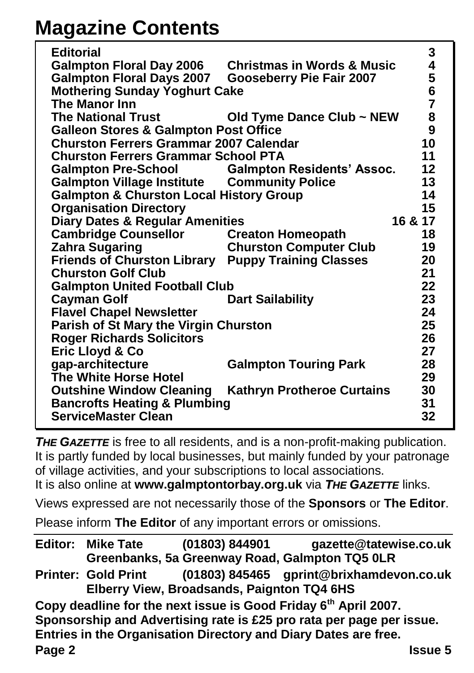## **Magazine Contents**

| <b>Editorial</b>                                   |                                       | 3              |
|----------------------------------------------------|---------------------------------------|----------------|
| <b>Galmpton Floral Day 2006</b>                    | <b>Christmas in Words &amp; Music</b> | 4              |
| <b>Galmpton Floral Days 2007</b>                   | <b>Gooseberry Pie Fair 2007</b>       | 5<br>6         |
| <b>Mothering Sunday Yoghurt Cake</b>               |                                       |                |
| The Manor Inn                                      |                                       | $\overline{7}$ |
| <b>The National Trust</b>                          | Old Tyme Dance Club ~ NEW             | 8<br>9         |
| <b>Galleon Stores &amp; Galmpton Post Office</b>   |                                       |                |
| <b>Churston Ferrers Grammar 2007 Calendar</b>      |                                       |                |
| <b>Churston Ferrers Grammar School PTA</b>         |                                       | 11             |
| <b>Galmpton Pre-School</b>                         | <b>Galmpton Residents' Assoc.</b>     | 12             |
| <b>Galmpton Village Institute Community Police</b> |                                       | 13             |
| <b>Galmpton &amp; Churston Local History Group</b> |                                       | 14             |
| <b>Organisation Directory</b>                      |                                       | 15             |
| <b>Diary Dates &amp; Regular Amenities</b>         |                                       | 16 & 17        |
| <b>Cambridge Counsellor</b>                        | <b>Creaton Homeopath</b>              | 18             |
| <b>Zahra Sugaring</b>                              | <b>Churston Computer Club</b>         | 19             |
| <b>Friends of Churston Library</b>                 | <b>Puppy Training Classes</b>         | 20             |
| <b>Churston Golf Club</b>                          |                                       | 21             |
| <b>Galmpton United Football Club</b>               |                                       | 22             |
| <b>Cayman Golf</b>                                 | <b>Dart Sailability</b>               | 23             |
| <b>Flavel Chapel Newsletter</b>                    |                                       | 24             |
| Parish of St Mary the Virgin Churston              |                                       | 25             |
| <b>Roger Richards Solicitors</b>                   |                                       | 26             |
| Eric Lloyd & Co                                    |                                       | 27             |
| gap-architecture                                   | <b>Galmpton Touring Park</b>          | 28             |
| The White Horse Hotel                              |                                       | 29             |
| <b>Outshine Window Cleaning</b>                    | <b>Kathryn Protheroe Curtains</b>     | 30             |
| <b>Bancrofts Heating &amp; Plumbing</b>            |                                       | 31             |
| <b>ServiceMaster Clean</b>                         |                                       | 32             |

**THE GAZETTE** is free to all residents, and is a non-profit-making publication. It is partly funded by local businesses, but mainly funded by your patronage of village activities, and your subscriptions to local associations.

It is also online at **www.galmptontorbay.org.uk** via *THE GAZETTE* links.

Views expressed are not necessarily those of the **Sponsors** or **The Editor**.

Please inform **The Editor** of any important errors or omissions.

|                                                                             | <b>Editor: Mike Tate</b>   | (01803) 844901 | gazette@tatewise.co.uk                         |  |  |
|-----------------------------------------------------------------------------|----------------------------|----------------|------------------------------------------------|--|--|
|                                                                             |                            |                | Greenbanks, 5a Greenway Road, Galmpton TQ5 0LR |  |  |
|                                                                             | <b>Printer: Gold Print</b> |                | (01803) 845465 gprint@brixhamdevon.co.uk       |  |  |
| Elberry View, Broadsands, Paignton TQ4 6HS                                  |                            |                |                                                |  |  |
| Copy deadline for the next issue is Good Friday 6 <sup>th</sup> April 2007. |                            |                |                                                |  |  |
|                                                                             |                            |                |                                                |  |  |
| Entries in the Organisation Directory and Diary Dates are free.             |                            |                |                                                |  |  |
| Page 2                                                                      |                            |                | <b>Issue 5</b>                                 |  |  |
| Sponsorship and Advertising rate is £25 pro rata per page per issue.        |                            |                |                                                |  |  |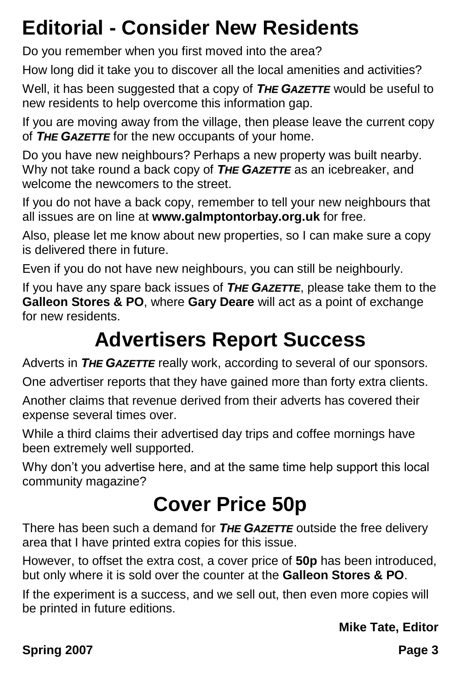## **Editorial - Consider New Residents**

Do you remember when you first moved into the area?

How long did it take you to discover all the local amenities and activities?

Well, it has been suggested that a copy of *THE GAZETTE* would be useful to new residents to help overcome this information gap.

If you are moving away from the village, then please leave the current copy of *THE GAZETTE* for the new occupants of your home.

Do you have new neighbours? Perhaps a new property was built nearby. Why not take round a back copy of *THE GAZETTE* as an icebreaker, and welcome the newcomers to the street.

If you do not have a back copy, remember to tell your new neighbours that all issues are on line at **www.galmptontorbay.org.uk** for free.

Also, please let me know about new properties, so I can make sure a copy is delivered there in future.

Even if you do not have new neighbours, you can still be neighbourly.

If you have any spare back issues of *THE GAZETTE*, please take them to the **Galleon Stores & PO**, where **Gary Deare** will act as a point of exchange for new residents.

## **Advertisers Report Success**

Adverts in *THE GAZETTE* really work, according to several of our sponsors.

One advertiser reports that they have gained more than forty extra clients.

Another claims that revenue derived from their adverts has covered their expense several times over.

While a third claims their advertised day trips and coffee mornings have been extremely well supported.

Why don't you advertise here, and at the same time help support this local community magazine?

## **Cover Price 50p**

There has been such a demand for *THE GAZETTE* outside the free delivery area that I have printed extra copies for this issue.

However, to offset the extra cost, a cover price of **50p** has been introduced, but only where it is sold over the counter at the **Galleon Stores & PO**.

If the experiment is a success, and we sell out, then even more copies will be printed in future editions.

**Mike Tate, Editor**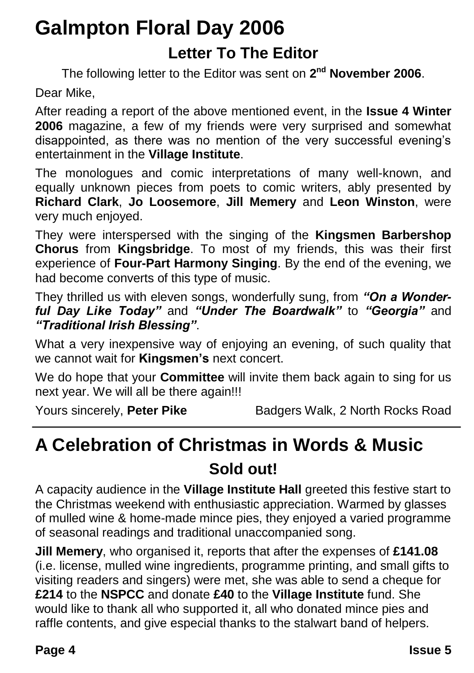## **Galmpton Floral Day 2006 Letter To The Editor**

The following letter to the Editor was sent on **2 nd November 2006**.

Dear Mike,

After reading a report of the above mentioned event, in the **Issue 4 Winter 2006** magazine, a few of my friends were very surprised and somewhat disappointed, as there was no mention of the very successful evening's entertainment in the **Village Institute**.

The monologues and comic interpretations of many well-known, and equally unknown pieces from poets to comic writers, ably presented by **Richard Clark**, **Jo Loosemore**, **Jill Memery** and **Leon Winston**, were very much enjoyed.

They were interspersed with the singing of the **Kingsmen Barbershop Chorus** from **Kingsbridge**. To most of my friends, this was their first experience of **Four-Part Harmony Singing**. By the end of the evening, we had become converts of this type of music.

They thrilled us with eleven songs, wonderfully sung, from *"On a Wonderful Day Like Today"* and *"Under The Boardwalk"* to *"Georgia"* and *"Traditional Irish Blessing"*.

What a very inexpensive way of enjoying an evening, of such quality that we cannot wait for **Kingsmen's** next concert.

We do hope that your **Committee** will invite them back again to sing for us next year. We will all be there again!!!

Yours sincerely, **Peter Pike** Badgers Walk, 2 North Rocks Road

## **A Celebration of Christmas in Words & Music Sold out!**

A capacity audience in the **Village Institute Hall** greeted this festive start to the Christmas weekend with enthusiastic appreciation. Warmed by glasses of mulled wine & home-made mince pies, they enjoyed a varied programme of seasonal readings and traditional unaccompanied song.

**Jill Memery**, who organised it, reports that after the expenses of **£141.08** (i.e. license, mulled wine ingredients, programme printing, and small gifts to visiting readers and singers) were met, she was able to send a cheque for **£214** to the **NSPCC** and donate **£40** to the **Village Institute** fund. She would like to thank all who supported it, all who donated mince pies and raffle contents, and give especial thanks to the stalwart band of helpers.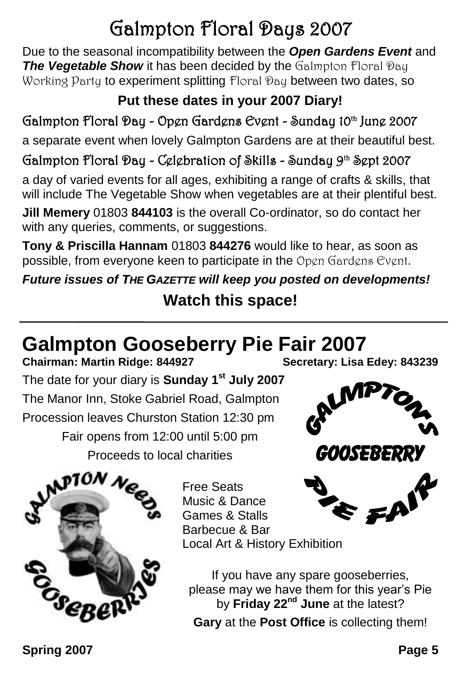## Galmpton Floral Days 2007

Due to the seasonal incompatibility between the *Open Gardens Event* and **The Vegetable Show** it has been decided by the Galmpton Floral Day Working Party to experiment splitting Floral Pay between two dates, so

#### **Put these dates in your 2007 Diary!**

#### Galmpton Floral Day - Open Gardens Event - Sunday 10th June 2007

a separate event when lovely Galmpton Gardens are at their beautiful best.

#### Galmpton Floral Day - Celebration of Skills - Sunday 9<sup>th</sup> Sept 2007

a day of varied events for all ages, exhibiting a range of crafts & skills, that will include The Vegetable Show when vegetables are at their plentiful best.

**Jill Memery** 01803 **844103** is the overall Co-ordinator, so do contact her with any queries, comments, or suggestions.

**Tony & Priscilla Hannam** 01803 **844276** would like to hear, as soon as possible, from everyone keen to participate in the Open Gardens Event.

*Future issues of THE GAZETTE will keep you posted on developments!*

#### **Watch this space!**

# **Galmpton Gooseberry Pie Fair 2007**<br>Chairman: Martin Ridge: 844927<br>Secretary: Lisa Edey: 843239

**Chairman: Martin Ridge: 844927** The date for your diary is **Sunday 1st July 2007** The Manor Inn, Stoke Gabriel Road, Galmpton Procession leaves Churston Station 12:30 pm Fair opens from 12:00 until 5:00 pm Proceeds to local charities





Free Seats Music & Dance Games & Stalls Barbecue & Bar Local Art & History Exhibition

If you have any spare gooseberries, please may we have them for this year's Pie by **Friday 22nd June** at the latest?

**Gary** at the **Post Office** is collecting them!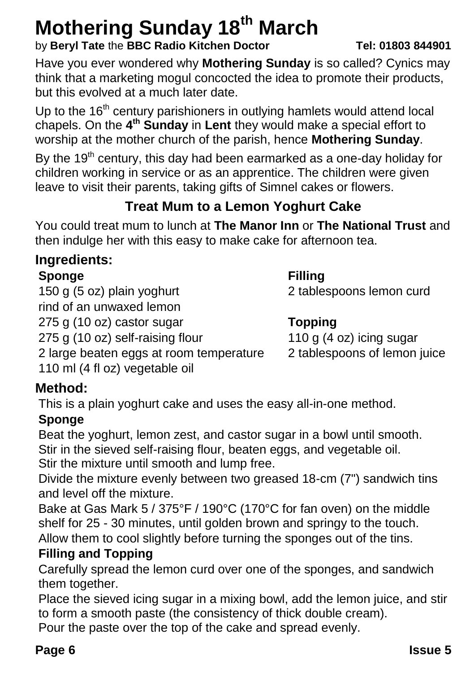## **Mothering Sunday 18th March**

#### by **Beryl Tate** the **BBC Radio Kitchen Doctor Tel: 01803 844901**

Have you ever wondered why **Mothering Sunday** is so called? Cynics may think that a marketing mogul concocted the idea to promote their products, but this evolved at a much later date.

Up to the  $16<sup>th</sup>$  century parishioners in outlying hamlets would attend local chapels. On the **4 th Sunday** in **Lent** they would make a special effort to worship at the mother church of the parish, hence **Mothering Sunday**.

By the  $19<sup>th</sup>$  century, this day had been earmarked as a one-day holiday for children working in service or as an apprentice. The children were given leave to visit their parents, taking gifts of Simnel cakes or flowers.

#### **Treat Mum to a Lemon Yoghurt Cake**

You could treat mum to lunch at **The Manor Inn** or **The National Trust** and then indulge her with this easy to make cake for afternoon tea.

#### **Ingredients:**

#### **Sponge Filling**

150 g (5 oz) plain yoghurt 2 tablespoons lemon curd

#### 275 g (10 oz) castor sugar **Topping**

275 g (10 oz) self-raising flour 110 g (4 oz) icing sugar

- 2 large beaten eggs at room temperature 2 tablespoons of lemon juice
- 110 ml (4 fl oz) vegetable oil

rind of an unwaxed lemon

**Method:**

This is a plain yoghurt cake and uses the easy all-in-one method.

#### **Sponge**

Beat the yoghurt, lemon zest, and castor sugar in a bowl until smooth. Stir in the sieved self-raising flour, beaten eggs, and vegetable oil. Stir the mixture until smooth and lump free.

Divide the mixture evenly between two greased 18-cm (7") sandwich tins and level off the mixture.

Bake at Gas Mark 5 / 375°F / 190°C (170°C for fan oven) on the middle shelf for 25 - 30 minutes, until golden brown and springy to the touch. Allow them to cool slightly before turning the sponges out of the tins.

#### **Filling and Topping**

Carefully spread the lemon curd over one of the sponges, and sandwich them together.

Place the sieved icing sugar in a mixing bowl, add the lemon juice, and stir to form a smooth paste (the consistency of thick double cream).

Pour the paste over the top of the cake and spread evenly.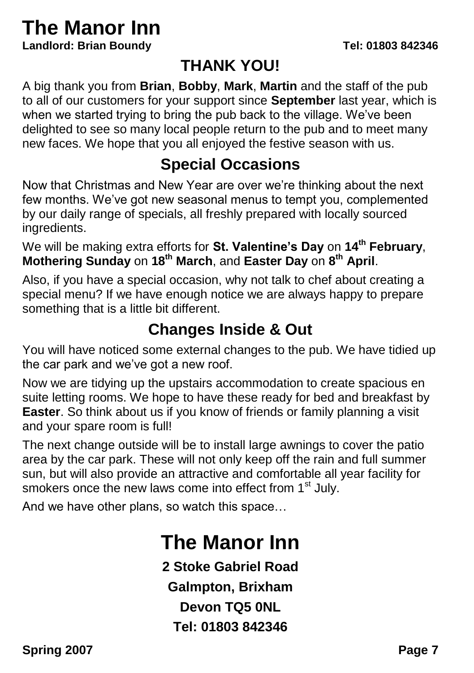## **The Manor Inn**

**Landlord: Brian Boundy Tel: 01803 842346**

#### **THANK YOU!**

A big thank you from **Brian**, **Bobby**, **Mark**, **Martin** and the staff of the pub to all of our customers for your support since **September** last year, which is when we started trying to bring the pub back to the village. We've been delighted to see so many local people return to the pub and to meet many new faces. We hope that you all enjoyed the festive season with us.

#### **Special Occasions**

Now that Christmas and New Year are over we're thinking about the next few months. We've got new seasonal menus to tempt you, complemented by our daily range of specials, all freshly prepared with locally sourced ingredients.

We will be making extra efforts for **St. Valentine's Day** on **14th February**, **Mothering Sunday** on **18th March**, and **Easter Day** on **8 th April**.

Also, if you have a special occasion, why not talk to chef about creating a special menu? If we have enough notice we are always happy to prepare something that is a little bit different.

#### **Changes Inside & Out**

You will have noticed some external changes to the pub. We have tidied up the car park and we've got a new roof.

Now we are tidying up the upstairs accommodation to create spacious en suite letting rooms. We hope to have these ready for bed and breakfast by **Easter**. So think about us if you know of friends or family planning a visit and your spare room is full!

The next change outside will be to install large awnings to cover the patio area by the car park. These will not only keep off the rain and full summer sun, but will also provide an attractive and comfortable all year facility for smokers once the new laws come into effect from 1<sup>st</sup> July.

And we have other plans, so watch this space…

## **The Manor Inn**

**2 Stoke Gabriel Road Galmpton, Brixham Devon TQ5 0NL Tel: 01803 842346**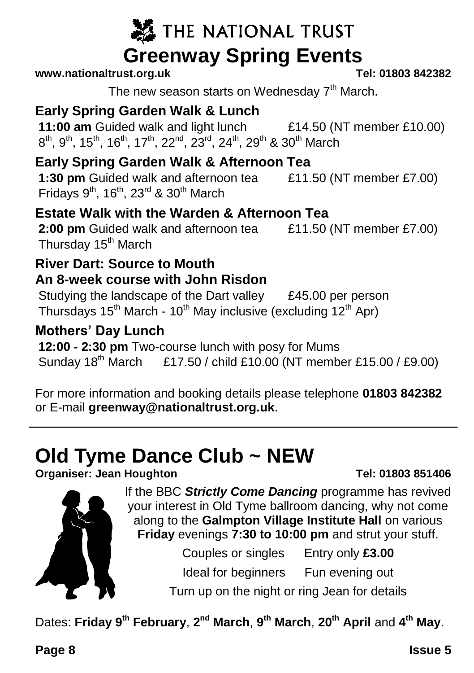## THE NATIONAL TRUST **Greenway Spring Events**<br>st org uk<br>Tel: 01803 842382

#### $www.national trust.ora.uk$

The new season starts on Wednesday  $7<sup>th</sup>$  March.

#### **Early Spring Garden Walk & Lunch**

**11:00 am** Guided walk and light lunch £14.50 (NT member £10.00)  $8^{\text{th}}$ ,  $9^{\text{th}}$ ,  $15^{\text{th}}$ ,  $16^{\text{th}}$ ,  $17^{\text{th}}$ ,  $22^{\text{nd}}$ ,  $23^{\text{rd}}$ ,  $24^{\text{th}}$ ,  $29^{\text{th}}$  &  $30^{\text{th}}$  March

#### **Early Spring Garden Walk & Afternoon Tea**

**1:30 pm** Guided walk and afternoon tea £11.50 (NT member £7.00) Fridays  $9^{th}$ , 16<sup>th</sup>, 23<sup>rd</sup> & 30<sup>th</sup> March

#### **Estate Walk with the Warden & Afternoon Tea**

**2:00 pm** Guided walk and afternoon tea £11.50 (NT member £7.00) Thursday 15<sup>th</sup> March

#### **River Dart: Source to Mouth An 8-week course with John Risdon**

Studying the landscape of the Dart valley E45.00 per person Thursdays  $15<sup>th</sup>$  March -  $10<sup>th</sup>$  May inclusive (excluding  $12<sup>th</sup>$  Apr)

#### **Mothers' Day Lunch**

**12:00 - 2:30 pm** Two-course lunch with posy for Mums Sunday 18th March £17.50 / child £10.00 (NT member £15.00 / £9.00)

For more information and booking details please telephone **01803 842382** or E-mail **greenway@nationaltrust.org.uk**.

## **Old Tyme Dance Club ~ NEW**

**Organiser: Jean Houghton Tel: 01803 851406**



If the BBC *Strictly Come Dancing* programme has revived your interest in Old Tyme ballroom dancing, why not come along to the **Galmpton Village Institute Hall** on various **Friday** evenings **7:30 to 10:00 pm** and strut your stuff.

Couples or singles Entry only **£3.00**

Ideal for beginners Fun evening out

Turn up on the night or ring Jean for details

Dates: **Friday 9th February**, **2 nd March**, **9 th March**, **20th April** and **4 th May**.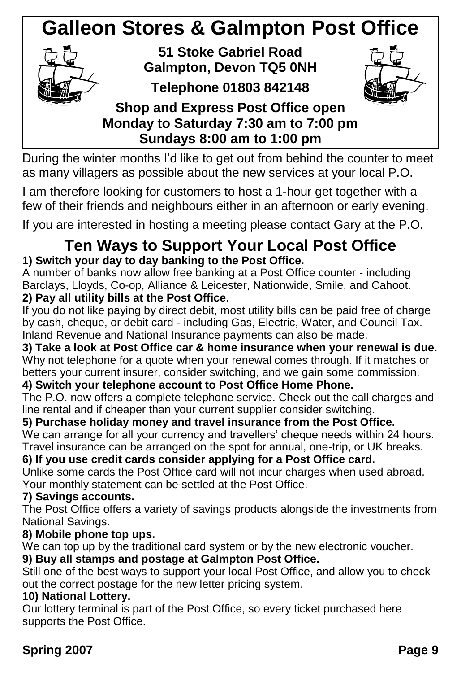## **Galleon Stores & Galmpton Post Office**



**51 Stoke Gabriel Road Galmpton, Devon TQ5 0NH**

**Telephone 01803 842148**



#### **Shop and Express Post Office open Monday to Saturday 7:30 am to 7:00 pm Sundays 8:00 am to 1:00 pm**

During the winter months I'd like to get out from behind the counter to meet as many villagers as possible about the new services at your local P.O.

I am therefore looking for customers to host a 1-hour get together with a few of their friends and neighbours either in an afternoon or early evening.

If you are interested in hosting a meeting please contact Gary at the P.O.

#### **Ten Ways to Support Your Local Post Office 1) Switch your day to day banking to the Post Office.**

A number of banks now allow free banking at a Post Office counter - including Barclays, Lloyds, Co-op, Alliance & Leicester, Nationwide, Smile, and Cahoot. **2) Pay all utility bills at the Post Office.**

If you do not like paying by direct debit, most utility bills can be paid free of charge by cash, cheque, or debit card - including Gas, Electric, Water, and Council Tax. Inland Revenue and National Insurance payments can also be made.

**3) Take a look at Post Office car & home insurance when your renewal is due.** Why not telephone for a quote when your renewal comes through. If it matches or betters your current insurer, consider switching, and we gain some commission.

#### **4) Switch your telephone account to Post Office Home Phone.**

The P.O. now offers a complete telephone service. Check out the call charges and line rental and if cheaper than your current supplier consider switching.

#### **5) Purchase holiday money and travel insurance from the Post Office.**

We can arrange for all your currency and travellers' cheque needs within 24 hours. Travel insurance can be arranged on the spot for annual, one-trip, or UK breaks.

#### **6) If you use credit cards consider applying for a Post Office card.**

Unlike some cards the Post Office card will not incur charges when used abroad. Your monthly statement can be settled at the Post Office.

#### **7) Savings accounts.**

The Post Office offers a variety of savings products alongside the investments from National Savings.

#### **8) Mobile phone top ups.**

We can top up by the traditional card system or by the new electronic voucher.

#### **9) Buy all stamps and postage at Galmpton Post Office.**

Still one of the best ways to support your local Post Office, and allow you to check out the correct postage for the new letter pricing system.

#### **10) National Lottery.**

Our lottery terminal is part of the Post Office, so every ticket purchased here supports the Post Office.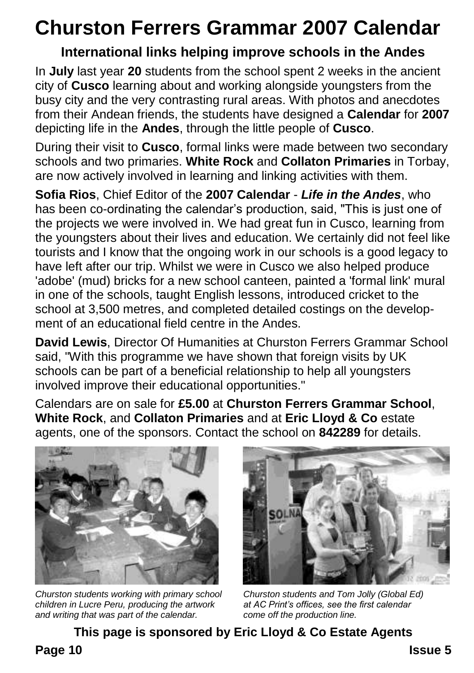## **Churston Ferrers Grammar 2007 Calendar**

#### **International links helping improve schools in the Andes**

In **July** last year **20** students from the school spent 2 weeks in the ancient city of **Cusco** learning about and working alongside youngsters from the busy city and the very contrasting rural areas. With photos and anecdotes from their Andean friends, the students have designed a **Calendar** for **2007** depicting life in the **Andes**, through the little people of **Cusco**.

During their visit to **Cusco**, formal links were made between two secondary schools and two primaries. **White Rock** and **Collaton Primaries** in Torbay, are now actively involved in learning and linking activities with them.

**Sofia Rios**, Chief Editor of the **2007 Calendar** - *Life in the Andes*, who has been co-ordinating the calendar's production, said, "This is just one of the projects we were involved in. We had great fun in Cusco, learning from the youngsters about their lives and education. We certainly did not feel like tourists and I know that the ongoing work in our schools is a good legacy to have left after our trip. Whilst we were in Cusco we also helped produce 'adobe' (mud) bricks for a new school canteen, painted a 'formal link' mural in one of the schools, taught English lessons, introduced cricket to the school at 3,500 metres, and completed detailed costings on the development of an educational field centre in the Andes.

**David Lewis**, Director Of Humanities at Churston Ferrers Grammar School said, "With this programme we have shown that foreign visits by UK schools can be part of a beneficial relationship to help all youngsters involved improve their educational opportunities."

Calendars are on sale for **£5.00** at **Churston Ferrers Grammar School**, **White Rock**, and **Collaton Primaries** and at **Eric Lloyd & Co** estate agents, one of the sponsors. Contact the school on **842289** for details.



*Churston students working with primary school Churston students and Tom Jolly (Global Ed) children in Lucre Peru, producing the artwork at AC Print's offices, see the first calendar* and writing that was part of the calendar.



**This page is sponsored by Eric Lloyd & Co Estate Agents**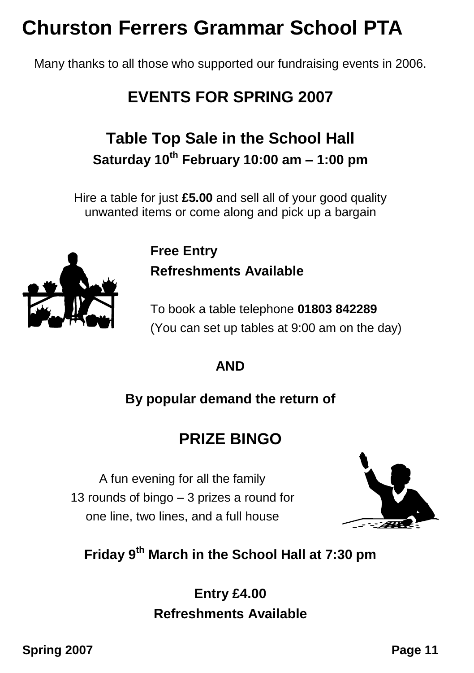## **Churston Ferrers Grammar School PTA**

Many thanks to all those who supported our fundraising events in 2006.

### **EVENTS FOR SPRING 2007**

### **Table Top Sale in the School Hall Saturday 10th February 10:00 am – 1:00 pm**

Hire a table for just **£5.00** and sell all of your good quality unwanted items or come along and pick up a bargain

> **Free Entry Refreshments Available**

To book a table telephone **01803 842289** (You can set up tables at 9:00 am on the day)

#### **AND**

#### **By popular demand the return of**

#### **PRIZE BINGO**

A fun evening for all the family 13 rounds of bingo – 3 prizes a round for one line, two lines, and a full house



#### **Friday 9th March in the School Hall at 7:30 pm**

#### **Entry £4.00 Refreshments Available**

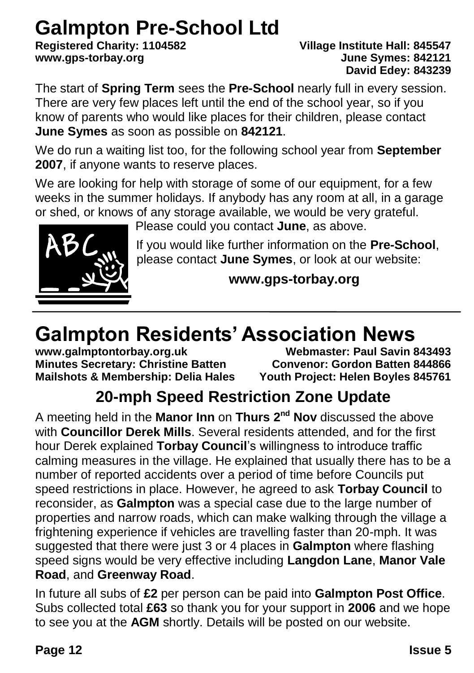# **Galmpton Pre-School Ltd**<br>Registered Charity: 1104582

#### **Registered Charity: 1104582 Village Institute Hall: 845547 www.gps-torbay.org June Symes: 842121 David Edey: 843239**

The start of **Spring Term** sees the **Pre-School** nearly full in every session. There are very few places left until the end of the school year, so if you know of parents who would like places for their children, please contact **June Symes** as soon as possible on **842121**.

We do run a waiting list too, for the following school year from **September 2007**, if anyone wants to reserve places.

We are looking for help with storage of some of our equipment, for a few weeks in the summer holidays. If anybody has any room at all, in a garage or shed, or knows of any storage available, we would be very grateful.

Please could you contact **June**, as above.



If you would like further information on the **Pre-School**, please contact **June Symes**, or look at our website:

**www.gps-torbay.org**

## **Galmpton Residents' Association News**

**Minutes Secretary: Christine Batten Convenor: Gordon Batten 844866**

**www.galmptontorbay.org.uk Webmaster: Paul Savin 843493** Youth Project: Helen Boyles 845761

## **20-mph Speed Restriction Zone Update**

A meeting held in the **Manor Inn** on **Thurs 2nd Nov** discussed the above with **Councillor Derek Mills**. Several residents attended, and for the first hour Derek explained **Torbay Council**'s willingness to introduce traffic calming measures in the village. He explained that usually there has to be a number of reported accidents over a period of time before Councils put speed restrictions in place. However, he agreed to ask **Torbay Council** to reconsider, as **Galmpton** was a special case due to the large number of properties and narrow roads, which can make walking through the village a frightening experience if vehicles are travelling faster than 20-mph. It was suggested that there were just 3 or 4 places in **Galmpton** where flashing speed signs would be very effective including **Langdon Lane**, **Manor Vale Road**, and **Greenway Road**.

In future all subs of **£2** per person can be paid into **Galmpton Post Office**. Subs collected total **£63** so thank you for your support in **2006** and we hope to see you at the **AGM** shortly. Details will be posted on our website.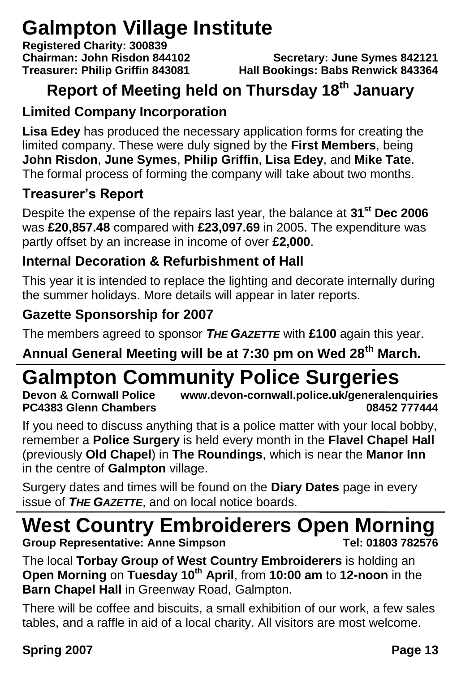## **Galmpton Village Institute**

**Registered Charity: 300839**

**Chairman: John Risdon 844102 Secretary: June Symes 842121 Treasurer: Philip Griffin 843081 Hall Bookings: Babs Renwick 843364**

### **Report of Meeting held on Thursday 18th January**

#### **Limited Company Incorporation**

**Lisa Edey** has produced the necessary application forms for creating the limited company. These were duly signed by the **First Members**, being **John Risdon**, **June Symes**, **Philip Griffin**, **Lisa Edey**, and **Mike Tate**. The formal process of forming the company will take about two months.

#### **Treasurer's Report**

Despite the expense of the repairs last year, the balance at **31st Dec 2006** was **£20,857.48** compared with **£23,097.69** in 2005. The expenditure was partly offset by an increase in income of over **£2,000**.

#### **Internal Decoration & Refurbishment of Hall**

This year it is intended to replace the lighting and decorate internally during the summer holidays. More details will appear in later reports.

#### **Gazette Sponsorship for 2007**

The members agreed to sponsor *THE GAZETTE* with **£100** again this year.

**Annual General Meeting will be at 7:30 pm on Wed 28th March.**

## **Galmpton Community Police Surgeries**

**Devon & Cornwall Police www.devon-cornwall.police.uk/generalenquiries PC4383 Glenn Chambers 08452 777444**

If you need to discuss anything that is a police matter with your local bobby, remember a **Police Surgery** is held every month in the **Flavel Chapel Hall** (previously **Old Chapel**) in **The Roundings**, which is near the **Manor Inn** in the centre of **Galmpton** village.

Surgery dates and times will be found on the **Diary Dates** page in every issue of *THE GAZETTE*, and on local notice boards.

## **West Country Embroiderers Open Morning**

**Group Representative: Anne Simpson** 

The local **Torbay Group of West Country Embroiderers** is holding an **Open Morning** on **Tuesday 10th April**, from **10:00 am** to **12-noon** in the **Barn Chapel Hall** in Greenway Road, Galmpton.

There will be coffee and biscuits, a small exhibition of our work, a few sales tables, and a raffle in aid of a local charity. All visitors are most welcome.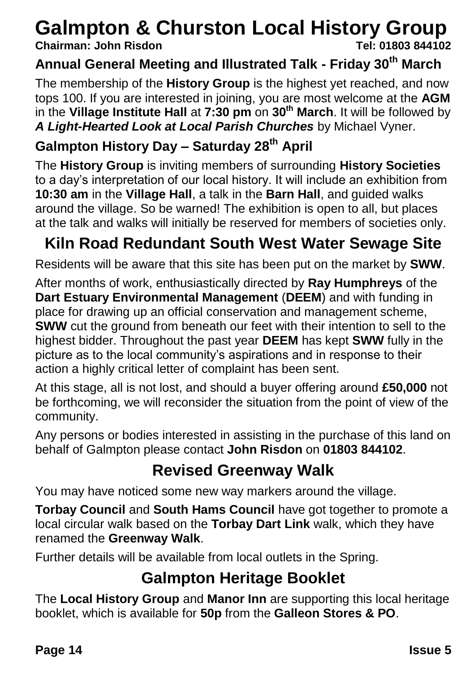## **Galmpton & Churston Local History Group**

#### **Chairman: John Risdon**

#### **Annual General Meeting and Illustrated Talk - Friday 30th March**

The membership of the **History Group** is the highest yet reached, and now tops 100. If you are interested in joining, you are most welcome at the **AGM** in the **Village Institute Hall** at **7:30 pm** on **30th March**. It will be followed by *A Light-Hearted Look at Local Parish Churches* by Michael Vyner.

#### **Galmpton History Day – Saturday 28th April**

The **History Group** is inviting members of surrounding **History Societies** to a day's interpretation of our local history. It will include an exhibition from **10:30 am** in the **Village Hall**, a talk in the **Barn Hall**, and guided walks around the village. So be warned! The exhibition is open to all, but places at the talk and walks will initially be reserved for members of societies only.

### **Kiln Road Redundant South West Water Sewage Site**

Residents will be aware that this site has been put on the market by **SWW**.

After months of work, enthusiastically directed by **Ray Humphreys** of the **Dart Estuary Environmental Management** (**DEEM**) and with funding in place for drawing up an official conservation and management scheme, **SWW** cut the ground from beneath our feet with their intention to sell to the highest bidder. Throughout the past year **DEEM** has kept **SWW** fully in the picture as to the local community's aspirations and in response to their action a highly critical letter of complaint has been sent.

At this stage, all is not lost, and should a buyer offering around **£50,000** not be forthcoming, we will reconsider the situation from the point of view of the community.

Any persons or bodies interested in assisting in the purchase of this land on behalf of Galmpton please contact **John Risdon** on **01803 844102**.

#### **Revised Greenway Walk**

You may have noticed some new way markers around the village.

**Torbay Council** and **South Hams Council** have got together to promote a local circular walk based on the **Torbay Dart Link** walk, which they have renamed the **Greenway Walk**.

Further details will be available from local outlets in the Spring.

#### **Galmpton Heritage Booklet**

The **Local History Group** and **Manor Inn** are supporting this local heritage booklet, which is available for **50p** from the **Galleon Stores & PO**.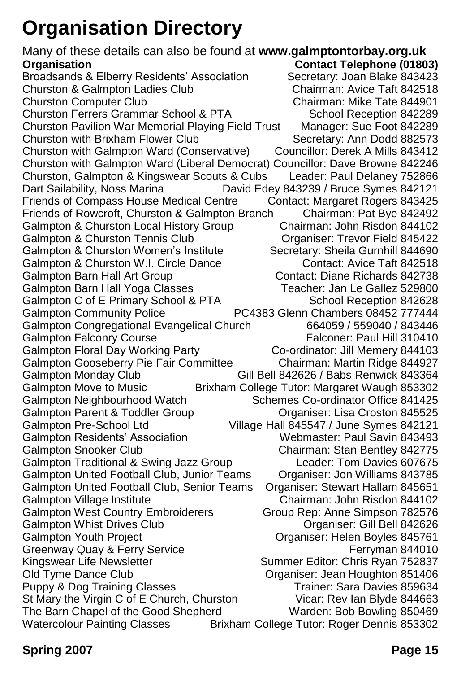## **Organisation Directory**

Many of these details can also be found at **www.galmptontorbay.org.uk Organisation Contact Telephone (01803)** Broadsands & Elberry Residents' Association Secretary: Joan Blake 843423<br>Churston & Galmpton Ladies Club Chairman: Avice Taft 842518 Churston & Galmpton Ladies Club Churston Computer Club Chairman: Mike Tate 844901 Churston Ferrers Grammar School & PTA<br>Churston Pavilion War Memorial Playing Field Trust Manager: Sue Foot 842289 Churston Pavilion War Memorial Playing Field Trust Manager: Sue Foot 842289 Churston with Brixham Flower Club Churston with Galmpton Ward (Conservative) Councillor: Derek A Mills 843412 Churston with Galmpton Ward (Liberal Democrat) Councillor: Dave Browne 842246 Churston, Galmpton & Kingswear Scouts & Cubs Leader: Paul Delaney 752866 Dart Sailability, Noss Marina David Edey 843239 / Bruce Symes 842121 Friends of Compass House Medical Centre Contact: Margaret Rogers 843425 Friends of Rowcroft, Churston & Galmpton Branch Chairman: Pat Bye 842492 Galmpton & Churston Local History Group Chairman: John Risdon 844102 Galmpton & Churston Tennis Club Organiser: Trevor Field 845422 Galmpton & Churston Women's Institute Secretary: Sheila Gurnhill 844690 Galmpton & Churston W.I. Circle Dance Contact: Avice Taft 842518<br>Galmpton Barn Hall Art Group Contact: Diane Richards 842738 Galmpton Barn Hall Art Group Galmpton Barn Hall Yoga Classes Teacher: Jan Le Gallez 529800 Galmpton C of E Primary School & PTA School Reception 842628<br>Galmpton Community Police FC4383 Glenn Chambers 08452 777444 PC4383 Glenn Chambers 08452 777444 Galmpton Congregational Evangelical Church 664059 / 559040 / 843446 Galmpton Falconry Course **Falconer: Paul Hill 310410** Galmpton Floral Day Working Party Co-ordinator: Jill Memery 844103 Galmpton Gooseberry Pie Fair Committee Chairman: Martin Ridge 844927 Galmpton Monday Club Gill Bell 842626 / Babs Renwick 843364 Galmpton Move to Music Brixham College Tutor: Margaret Waugh 853302 Galmpton Neighbourhood Watch Schemes Co-ordinator Office 841425<br>Galmpton Parent & Toddler Group Craaniser: Lisa Croston 845525 Galmpton Parent & Toddler Group Galmpton Pre-School Ltd Village Hall 845547 / June Symes 842121 Galmpton Residents' Association Webmaster: Paul Savin 843493 Galmpton Snooker Club Chairman: Stan Bentley 842775<br>Galmpton Traditional & Swing Jazz Group Chairman: Tom Davies 607675 Galmpton Traditional & Swing Jazz Group Galmpton United Football Club, Junior Teams Organiser: Jon Williams 843785 Galmpton United Football Club, Senior Teams Organiser: Stewart Hallam 845651 Galmpton Village Institute Chairman: John Risdon 844102 Galmpton West Country Embroiderers Group Rep: Anne Simpson 782576 Galmpton Whist Drives Club Cross Club Cross Consumer: Gill Bell 842626 Galmpton Youth Project **Communist Constructs** Organiser: Helen Boyles 845761 Greenway Quay & Ferry Service **Ferryman 844010** Kingswear Life Newsletter Summer Editor: Chris Ryan 752837 Old Tyme Dance Club Organiser: Jean Houghton 851406 Puppy & Dog Training Classes Trainer: Sara Davies 859634 St Mary the Virgin C of E Church, Churston Vicar: Rev Ian Blyde 844663 The Barn Chapel of the Good Shepherd Warden: Bob Bowling 850469 Watercolour Painting Classes Brixham College Tutor: Roger Dennis 853302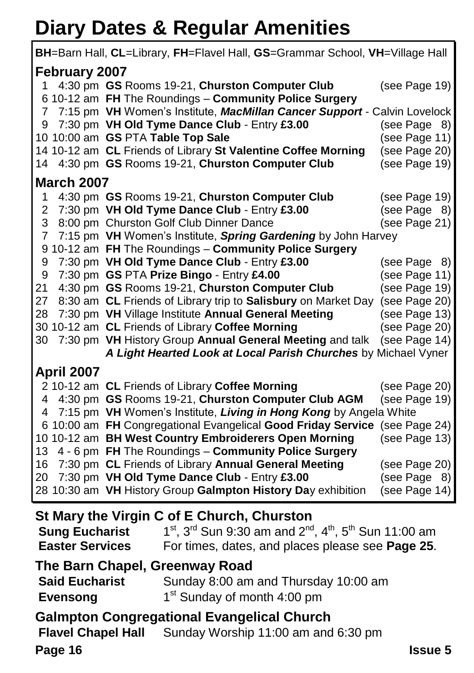## **Diary Dates & Regular Amenities**

| BH=Barn Hall, CL=Library, FH=Flavel Hall, GS=Grammar School, VH=Village Hall                                                         |                                                                                                                 |                                |  |
|--------------------------------------------------------------------------------------------------------------------------------------|-----------------------------------------------------------------------------------------------------------------|--------------------------------|--|
| February 2007                                                                                                                        |                                                                                                                 |                                |  |
| 1                                                                                                                                    | 4:30 pm GS Rooms 19-21, Churston Computer Club                                                                  | (see Page 19)                  |  |
|                                                                                                                                      | 6 10-12 am FH The Roundings - Community Police Surgery                                                          |                                |  |
|                                                                                                                                      | 7 7:15 pm VH Women's Institute, MacMillan Cancer Support - Calvin Lovelock                                      |                                |  |
| 9                                                                                                                                    | 7:30 pm VH Old Tyme Dance Club - Entry £3.00                                                                    | (see Page 8)                   |  |
|                                                                                                                                      | 10 10:00 am GS PTA Table Top Sale                                                                               | (see Page 11)                  |  |
|                                                                                                                                      | 14 10-12 am CL Friends of Library St Valentine Coffee Morning                                                   | (see Page 20)                  |  |
|                                                                                                                                      | 14 4:30 pm GS Rooms 19-21, Churston Computer Club                                                               | (see Page 19)                  |  |
| <b>March 2007</b>                                                                                                                    |                                                                                                                 |                                |  |
| 1                                                                                                                                    | 4:30 pm GS Rooms 19-21, Churston Computer Club                                                                  | (see Page 19)                  |  |
| $\overline{2}$                                                                                                                       | 7:30 pm VH Old Tyme Dance Club - Entry £3.00                                                                    | (see Page 8)                   |  |
| 3                                                                                                                                    | 8:00 pm Churston Golf Club Dinner Dance                                                                         | (see Page 21)                  |  |
| 7                                                                                                                                    | 7:15 pm VH Women's Institute, Spring Gardening by John Harvey                                                   |                                |  |
|                                                                                                                                      | 9 10-12 am FH The Roundings - Community Police Surgery                                                          |                                |  |
| 9                                                                                                                                    | 7:30 pm VH Old Tyme Dance Club - Entry £3.00                                                                    | (see Page 8)                   |  |
| 9                                                                                                                                    | 7:30 pm GS PTA Prize Bingo - Entry £4.00                                                                        | (see Page 11)                  |  |
| 21<br>27                                                                                                                             | 4:30 pm GS Rooms 19-21, Churston Computer Club<br>8:30 am CL Friends of Library trip to Salisbury on Market Day | (see Page 19)<br>(see Page 20) |  |
| 28                                                                                                                                   | 7:30 pm VH Village Institute Annual General Meeting                                                             | (see Page 13)                  |  |
|                                                                                                                                      | 30 10-12 am CL Friends of Library Coffee Morning                                                                | (see Page 20)                  |  |
| 30                                                                                                                                   | 7:30 pm VH History Group Annual General Meeting and talk                                                        | (see Page 14)                  |  |
|                                                                                                                                      | A Light Hearted Look at Local Parish Churches by Michael Vyner                                                  |                                |  |
| <b>April 2007</b>                                                                                                                    |                                                                                                                 |                                |  |
|                                                                                                                                      | 2 10-12 am CL Friends of Library Coffee Morning                                                                 | (see Page 20)                  |  |
| 4                                                                                                                                    | 4:30 pm GS Rooms 19-21, Churston Computer Club AGM                                                              | (see Page 19)                  |  |
| 4                                                                                                                                    | 7:15 pm VH Women's Institute, Living in Hong Kong by Angela White                                               |                                |  |
|                                                                                                                                      | 6 10:00 am FH Congregational Evangelical Good Friday Service                                                    | (see Page 24)                  |  |
|                                                                                                                                      | 10 10-12 am BH West Country Embroiderers Open Morning                                                           | (see Page 13)                  |  |
| 13                                                                                                                                   | 4 - 6 pm FH The Roundings - Community Police Surgery                                                            |                                |  |
| 16                                                                                                                                   | 7:30 pm CL Friends of Library Annual General Meeting                                                            | (see Page 20)                  |  |
| 20                                                                                                                                   | 7:30 pm VH Old Tyme Dance Club - Entry £3.00                                                                    | (see Page 8)                   |  |
|                                                                                                                                      | 28 10:30 am VH History Group Galmpton History Day exhibition                                                    | (see Page 14)                  |  |
| St Mary the Virgin C of E Church, Churston                                                                                           |                                                                                                                 |                                |  |
| $1^{st}$ , 3 <sup>rd</sup> Sun 9:30 am and 2 <sup>nd</sup> , 4 <sup>th</sup> , 5 <sup>th</sup> Sun 11:00 am<br><b>Sung Eucharist</b> |                                                                                                                 |                                |  |
|                                                                                                                                      |                                                                                                                 |                                |  |
| <b>Easter Services</b><br>For times, dates, and places please see Page 25.                                                           |                                                                                                                 |                                |  |

**The Barn Chapel, Greenway Road**<br> **Said Eucharist** Sunday 8:00 am Sunday 8:00 am and Thursday 10:00 am **Evensong** 1<sup>st</sup> Sunday of month 4:00 pm

#### **Galmpton Congregational Evangelical Church**

**Flavel Chapel Hall** Sunday Worship 11:00 am and 6:30 pm

**Page 16 Issue 5**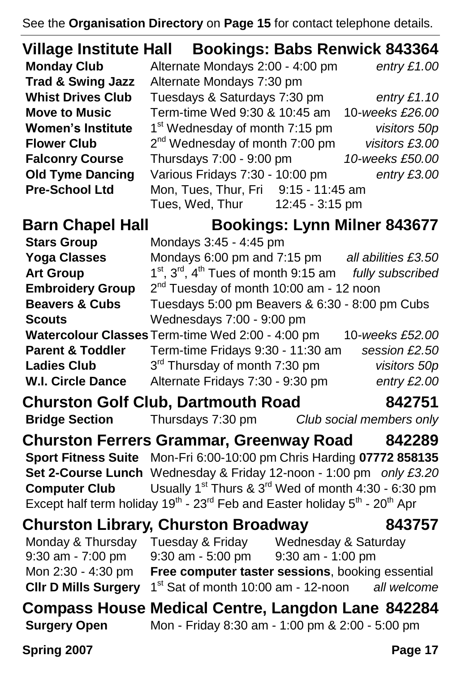See the **Organisation Directory** on **Page 15** for contact telephone details.

|                                                      | Village Institute Hall Bookings: Babs Renwick 843364                                                                       |                 |  |
|------------------------------------------------------|----------------------------------------------------------------------------------------------------------------------------|-----------------|--|
| <b>Monday Club</b>                                   | Alternate Mondays 2:00 - 4:00 pm                                                                                           | entry $£1.00$   |  |
| <b>Trad &amp; Swing Jazz</b>                         | Alternate Mondays 7:30 pm                                                                                                  |                 |  |
| <b>Whist Drives Club</b>                             | Tuesdays & Saturdays 7:30 pm                                                                                               | entry $£1.10$   |  |
| <b>Move to Music</b>                                 | Term-time Wed 9:30 & 10:45 am                                                                                              | 10-weeks £26.00 |  |
| <b>Women's Institute</b>                             | 1 <sup>st</sup> Wednesday of month 7:15 pm                                                                                 | visitors 50p    |  |
| <b>Flower Club</b>                                   | 2 <sup>nd</sup> Wednesday of month 7:00 pm                                                                                 | visitors £3.00  |  |
| <b>Falconry Course</b>                               | Thursdays 7:00 - 9:00 pm                                                                                                   | 10-weeks £50.00 |  |
| <b>Old Tyme Dancing</b>                              | Various Fridays 7:30 - 10:00 pm                                                                                            | entry £3.00     |  |
| <b>Pre-School Ltd</b>                                | Mon, Tues, Thur, Fri 9:15 - 11:45 am<br>Tues, Wed, Thur 12:45 - 3:15 pm                                                    |                 |  |
| <b>Barn Chapel Hall</b>                              | <b>Bookings: Lynn Milner 843677</b>                                                                                        |                 |  |
| <b>Stars Group</b>                                   | Mondays 3:45 - 4:45 pm                                                                                                     |                 |  |
| <b>Yoga Classes</b>                                  | Mondays 6:00 pm and 7:15 pm all abilities £3.50                                                                            |                 |  |
| <b>Art Group</b>                                     | $1st$ , $3rd$ , $4th$ Tues of month 9:15 am <i>fully subscribed</i>                                                        |                 |  |
| <b>Embroidery Group</b>                              | $2nd$ Tuesday of month 10:00 am - 12 noon                                                                                  |                 |  |
| <b>Beavers &amp; Cubs</b>                            | Tuesdays 5:00 pm Beavers & 6:30 - 8:00 pm Cubs                                                                             |                 |  |
| <b>Scouts</b>                                        | Wednesdays 7:00 - 9:00 pm                                                                                                  |                 |  |
|                                                      | Watercolour Classes Term-time Wed 2:00 - 4:00 pm                                                                           | 10-weeks £52.00 |  |
| <b>Parent &amp; Toddler</b>                          | Term-time Fridays 9:30 - 11:30 am                                                                                          | session £2.50   |  |
| <b>Ladies Club</b>                                   | 3 <sup>rd</sup> Thursday of month 7:30 pm                                                                                  | visitors 50p    |  |
| <b>W.I. Circle Dance</b>                             | Alternate Fridays 7:30 - 9:30 pm                                                                                           | entry £2.00     |  |
|                                                      | <b>Churston Golf Club, Dartmouth Road</b>                                                                                  | 842751          |  |
| <b>Bridge Section</b>                                | Thursdays 7:30 pm Club social members only                                                                                 |                 |  |
|                                                      | <b>Churston Ferrers Grammar, Greenway Road</b>                                                                             | 842289          |  |
|                                                      | Sport Fitness Suite Mon-Fri 6:00-10:00 pm Chris Harding 07772 858135                                                       |                 |  |
|                                                      | Set 2-Course Lunch Wednesday & Friday 12-noon - 1:00 pm only £3.20                                                         |                 |  |
| <b>Computer Club</b>                                 | Usually 1 <sup>st</sup> Thurs & 3 <sup>rd</sup> Wed of month 4:30 - 6:30 pm                                                |                 |  |
|                                                      | Except half term holiday 19 <sup>th</sup> - 23 <sup>rd</sup> Feb and Easter holiday 5 <sup>th</sup> - 20 <sup>th</sup> Apr |                 |  |
| <b>Churston Library, Churston Broadway</b><br>843757 |                                                                                                                            |                 |  |
|                                                      | Monday & Thursday Tuesday & Friday Wednesday & Saturday                                                                    |                 |  |
| $9:30$ am - $7:00$ pm                                | $9:30$ am - 5:00 pm<br>9:30 am - 1:00 pm                                                                                   |                 |  |
| Mon 2:30 - 4:30 pm                                   | Free computer taster sessions, booking essential                                                                           |                 |  |
| <b>CIIr D Mills Surgery</b>                          | 1 <sup>st</sup> Sat of month 10:00 am - 12-noon                                                                            | all welcome     |  |
|                                                      | Compass House Medical Centre, Langdon Lane 842284                                                                          |                 |  |
| <b>Surgery Open</b>                                  | Mon - Friday 8:30 am - 1:00 pm & 2:00 - 5:00 pm                                                                            |                 |  |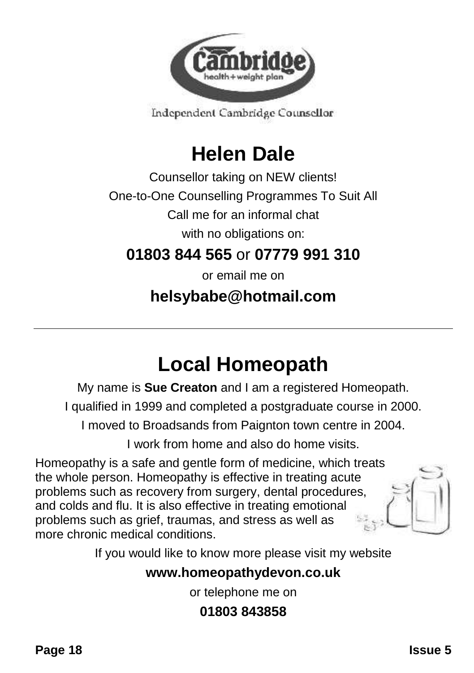

Independent Cambridge Counsellor

## **Helen Dale**

Counsellor taking on NEW clients!

One-to-One Counselling Programmes To Suit All

Call me for an informal chat

with no obligations on:

#### **01803 844 565** or **07779 991 310**

or email me on

#### **helsybabe@hotmail.com**

## **Local Homeopath**

My name is **Sue Creaton** and I am a registered Homeopath.

I qualified in 1999 and completed a postgraduate course in 2000.

I moved to Broadsands from Paignton town centre in 2004.

I work from home and also do home visits.

Homeopathy is a safe and gentle form of medicine, which treats the whole person. Homeopathy is effective in treating acute problems such as recovery from surgery, dental procedures, and colds and flu. It is also effective in treating emotional problems such as grief, traumas, and stress as well as more chronic medical conditions.

If you would like to know more please visit my website

#### **www.homeopathydevon.co.uk**

or telephone me on

#### **01803 843858**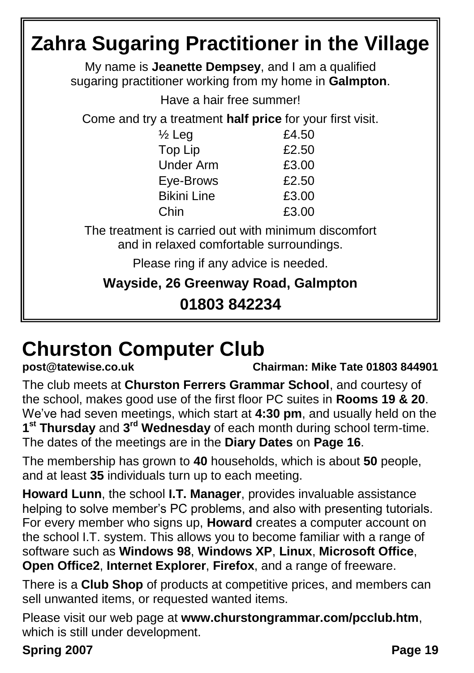#### **Zahra Sugaring Practitioner in the Village** My name is **Jeanette Dempsey**, and I am a qualified sugaring practitioner working from my home in **Galmpton**. Have a hair free summer! Come and try a treatment **half price** for your first visit.  $\frac{1}{2}$  Leg  $\frac{2}{10}$  E4.50 Top Lip 62.50 Under Arm £3.00 Eye-Brows £2.50 Bikini Line £3.00 Chin £3.00 The treatment is carried out with minimum discomfort and in relaxed comfortable surroundings. Please ring if any advice is needed. **Wayside, 26 Greenway Road, Galmpton 01803 842234**

# **Churston Computer Club**<br> **post@tatewise.co.uk**

**post@tatewise.co.uk Chairman: Mike Tate 01803 844901**

The club meets at **Churston Ferrers Grammar School**, and courtesy of the school, makes good use of the first floor PC suites in **Rooms 19 & 20**. We've had seven meetings, which start at **4:30 pm**, and usually held on the 1<sup>st</sup> Thursday and 3<sup>rd</sup> Wednesday of each month during school term-time. The dates of the meetings are in the **Diary Dates** on **Page 16**.

The membership has grown to **40** households, which is about **50** people, and at least **35** individuals turn up to each meeting.

**Howard Lunn**, the school **I.T. Manager**, provides invaluable assistance helping to solve member's PC problems, and also with presenting tutorials. For every member who signs up, **Howard** creates a computer account on the school I.T. system. This allows you to become familiar with a range of software such as **Windows 98**, **Windows XP**, **Linux**, **Microsoft Office**, **Open Office2**, **Internet Explorer**, **Firefox**, and a range of freeware.

There is a **Club Shop** of products at competitive prices, and members can sell unwanted items, or requested wanted items.

Please visit our web page at **www.churstongrammar.com/pcclub.htm**, which is still under development.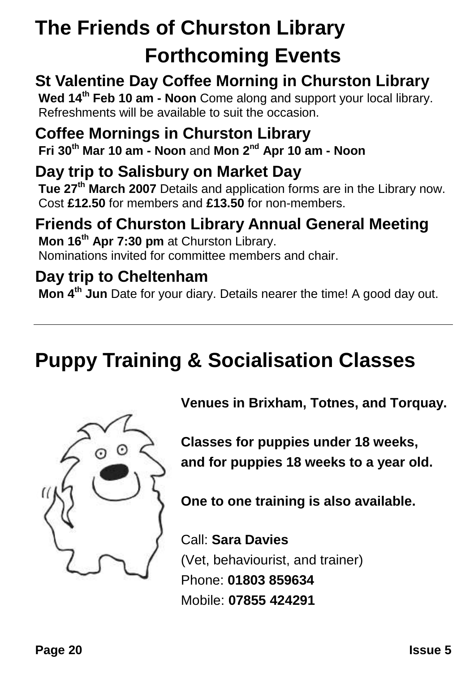## **The Friends of Churston Library Forthcoming Events**

### **St Valentine Day Coffee Morning in Churston Library**

**Wed 14th Feb 10 am - Noon** Come along and support your local library. Refreshments will be available to suit the occasion.

#### **Coffee Mornings in Churston Library**

**Fri 30th Mar 10 am - Noon** and **Mon 2nd Apr 10 am - Noon**

#### **Day trip to Salisbury on Market Day**

**Tue 27th March 2007** Details and application forms are in the Library now. Cost **£12.50** for members and **£13.50** for non-members.

#### **Friends of Churston Library Annual General Meeting**

**Mon 16th Apr 7:30 pm** at Churston Library. Nominations invited for committee members and chair.

#### **Day trip to Cheltenham**

**Mon 4th Jun** Date for your diary. Details nearer the time! A good day out.

## **Puppy Training & Socialisation Classes**



**Venues in Brixham, Totnes, and Torquay.**

**Classes for puppies under 18 weeks, and for puppies 18 weeks to a year old.**

**One to one training is also available.**

Call: **Sara Davies** (Vet, behaviourist, and trainer) Phone: **01803 859634** Mobile: **07855 424291**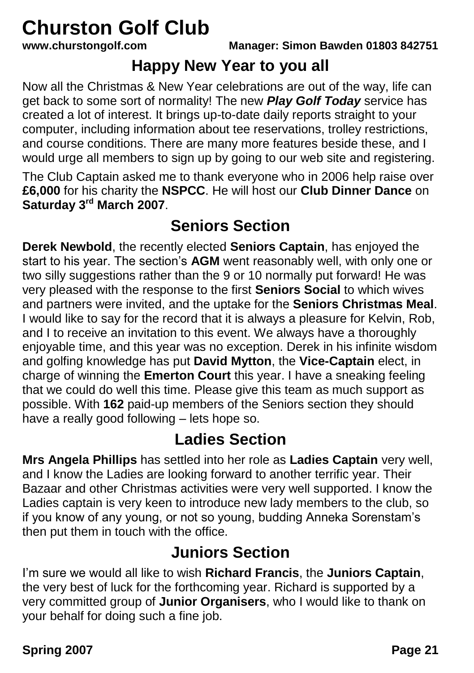# **Churston Golf Club**<br>www.churstongolf.com

#### **Happy New Year to you all**

Now all the Christmas & New Year celebrations are out of the way, life can get back to some sort of normality! The new *Play Golf Today* service has created a lot of interest. It brings up-to-date daily reports straight to your computer, including information about tee reservations, trolley restrictions, and course conditions. There are many more features beside these, and I would urge all members to sign up by going to our web site and registering.

The Club Captain asked me to thank everyone who in 2006 help raise over **£6,000** for his charity the **NSPCC**. He will host our **Club Dinner Dance** on **Saturday 3rd March 2007**.

### **Seniors Section**

**Derek Newbold**, the recently elected **Seniors Captain**, has enjoyed the start to his year. The section's **AGM** went reasonably well, with only one or two silly suggestions rather than the 9 or 10 normally put forward! He was very pleased with the response to the first **Seniors Social** to which wives and partners were invited, and the uptake for the **Seniors Christmas Meal**. I would like to say for the record that it is always a pleasure for Kelvin, Rob, and I to receive an invitation to this event. We always have a thoroughly enjoyable time, and this year was no exception. Derek in his infinite wisdom and golfing knowledge has put **David Mytton**, the **Vice-Captain** elect, in charge of winning the **Emerton Court** this year. I have a sneaking feeling that we could do well this time. Please give this team as much support as possible. With **162** paid-up members of the Seniors section they should have a really good following – lets hope so.

#### **Ladies Section**

**Mrs Angela Phillips** has settled into her role as **Ladies Captain** very well, and I know the Ladies are looking forward to another terrific year. Their Bazaar and other Christmas activities were very well supported. I know the Ladies captain is very keen to introduce new lady members to the club, so if you know of any young, or not so young, budding Anneka Sorenstam's then put them in touch with the office.

#### **Juniors Section**

I'm sure we would all like to wish **Richard Francis**, the **Juniors Captain**, the very best of luck for the forthcoming year. Richard is supported by a very committed group of **Junior Organisers**, who I would like to thank on your behalf for doing such a fine job.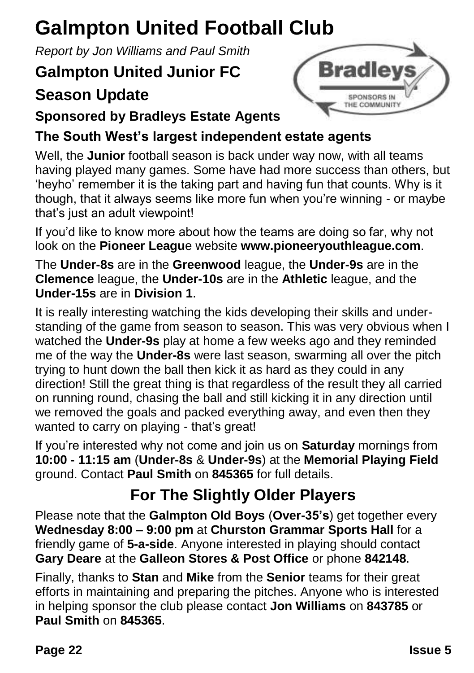## **Galmpton United Football Club**

*Report by Jon Williams and Paul Smith*

### **Galmpton United Junior FC**

### **Season Update**



#### **Sponsored by Bradleys Estate Agents**

#### **The South West's largest independent estate agents**

Well, the **Junior** football season is back under way now, with all teams having played many games. Some have had more success than others, but 'heyho' remember it is the taking part and having fun that counts. Why is it though, that it always seems like more fun when you're winning - or maybe that's just an adult viewpoint!

If you'd like to know more about how the teams are doing so far, why not look on the **Pioneer Leagu**e website **www.pioneeryouthleague.com**.

The **Under-8s** are in the **Greenwood** league, the **Under-9s** are in the **Clemence** league, the **Under-10s** are in the **Athletic** league, and the **Under-15s** are in **Division 1**.

It is really interesting watching the kids developing their skills and understanding of the game from season to season. This was very obvious when I watched the **Under-9s** play at home a few weeks ago and they reminded me of the way the **Under-8s** were last season, swarming all over the pitch trying to hunt down the ball then kick it as hard as they could in any direction! Still the great thing is that regardless of the result they all carried on running round, chasing the ball and still kicking it in any direction until we removed the goals and packed everything away, and even then they wanted to carry on playing - that's great!

If you're interested why not come and join us on **Saturday** mornings from **10:00 - 11:15 am** (**Under-8s** & **Under-9s**) at the **Memorial Playing Field** ground. Contact **Paul Smith** on **845365** for full details.

### **For The Slightly Older Players**

Please note that the **Galmpton Old Boys** (**Over-35's**) get together every **Wednesday 8:00 – 9:00 pm** at **Churston Grammar Sports Hall** for a friendly game of **5-a-side**. Anyone interested in playing should contact **Gary Deare** at the **Galleon Stores & Post Office** or phone **842148**.

Finally, thanks to **Stan** and **Mike** from the **Senior** teams for their great efforts in maintaining and preparing the pitches. Anyone who is interested in helping sponsor the club please contact **Jon Williams** on **843785** or **Paul Smith** on **845365**.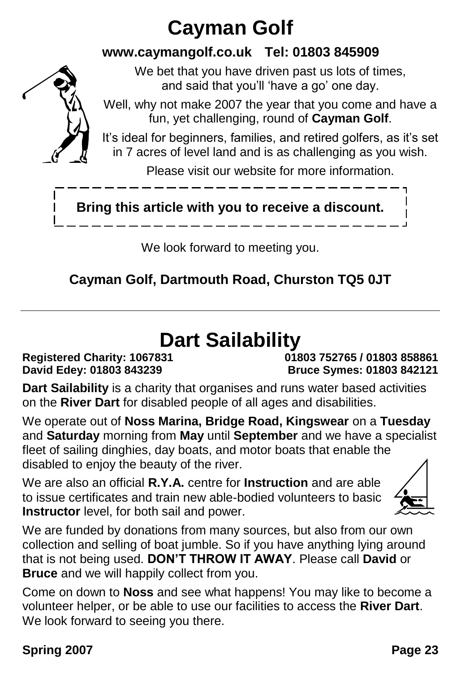## **Cayman Golf**

#### **www.caymangolf.co.uk Tel: 01803 845909**

We bet that you have driven past us lots of times, and said that you'll 'have a go' one day.



It's ideal for beginners, families, and retired golfers, as it's set in 7 acres of level land and is as challenging as you wish.

Please visit our website for more information.

### **Bring this article with you to receive a discount.**

We look forward to meeting you.

#### **Cayman Golf, Dartmouth Road, Churston TQ5 0JT**

## **Dart Sailability**

**Registered Charity: 1067831 01803 752765 / 01803 858861 David Edey: 01803 843239 Bruce Symes: 01803 842121**

**Dart Sailability** is a charity that organises and runs water based activities on the **River Dart** for disabled people of all ages and disabilities.

We operate out of **Noss Marina, Bridge Road, Kingswear** on a **Tuesday** and **Saturday** morning from **May** until **September** and we have a specialist fleet of sailing dinghies, day boats, and motor boats that enable the disabled to enjoy the beauty of the river.

We are also an official **R.Y.A.** centre for **Instruction** and are able to issue certificates and train new able-bodied volunteers to basic **Instructor** level, for both sail and power.



We are funded by donations from many sources, but also from our own collection and selling of boat jumble. So if you have anything lying around that is not being used. **DON'T THROW IT AWAY**. Please call **David** or **Bruce** and we will happily collect from you.

Come on down to **Noss** and see what happens! You may like to become a volunteer helper, or be able to use our facilities to access the **River Dart**. We look forward to seeing you there.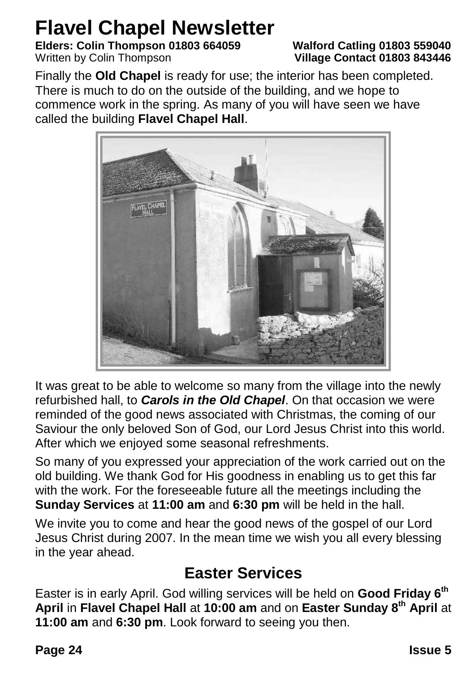## **Flavel Chapel Newsletter**

**Elders: Colin Thompson 01803 664059 Walford Catling 01803 559040**

## **Village Contact 01803 843446**

Finally the **Old Chapel** is ready for use; the interior has been completed. There is much to do on the outside of the building, and we hope to commence work in the spring. As many of you will have seen we have called the building **Flavel Chapel Hall**.



It was great to be able to welcome so many from the village into the newly refurbished hall, to *Carols in the Old Chapel*. On that occasion we were reminded of the good news associated with Christmas, the coming of our Saviour the only beloved Son of God, our Lord Jesus Christ into this world. After which we enjoyed some seasonal refreshments.

So many of you expressed your appreciation of the work carried out on the old building. We thank God for His goodness in enabling us to get this far with the work. For the foreseeable future all the meetings including the **Sunday Services** at **11:00 am** and **6:30 pm** will be held in the hall.

We invite you to come and hear the good news of the gospel of our Lord Jesus Christ during 2007. In the mean time we wish you all every blessing in the year ahead.

#### **Easter Services**

Easter is in early April. God willing services will be held on **Good Friday 6th April** in **Flavel Chapel Hall** at **10:00 am** and on **Easter Sunday 8th April** at **11:00 am** and **6:30 pm**. Look forward to seeing you then.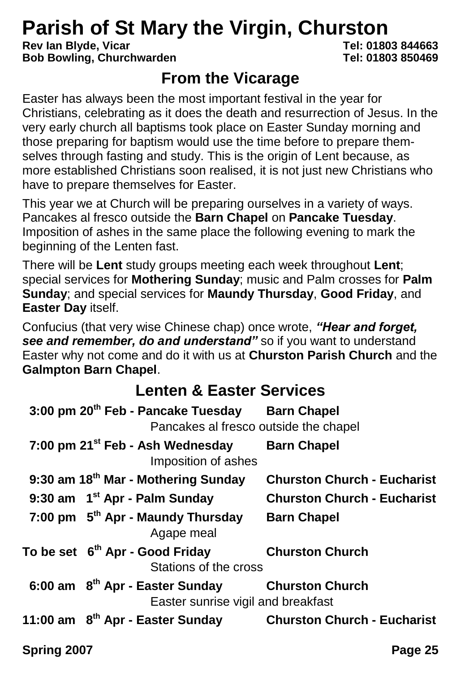# **Parish of St Mary the Virgin, Churston**<br>Rev lan Blyde, Vicar<br>Tel: 01803 844663

**Rev Ian Blyde, Vicar Tel: 01803 844663 Bob Bowling, Churchwarden** 

#### **From the Vicarage**

Easter has always been the most important festival in the year for Christians, celebrating as it does the death and resurrection of Jesus. In the very early church all baptisms took place on Easter Sunday morning and those preparing for baptism would use the time before to prepare themselves through fasting and study. This is the origin of Lent because, as more established Christians soon realised, it is not just new Christians who have to prepare themselves for Easter.

This year we at Church will be preparing ourselves in a variety of ways. Pancakes al fresco outside the **Barn Chapel** on **Pancake Tuesday**. Imposition of ashes in the same place the following evening to mark the beginning of the Lenten fast.

There will be **Lent** study groups meeting each week throughout **Lent**; special services for **Mothering Sunday**; music and Palm crosses for **Palm Sunday**; and special services for **Maundy Thursday**, **Good Friday**, and **Easter Day** itself.

Confucius (that very wise Chinese chap) once wrote, *"Hear and forget, see and remember, do and understand"* so if you want to understand Easter why not come and do it with us at **Churston Parish Church** and the **Galmpton Barn Chapel**.

#### **Lenten & Easter Services**

| 3:00 pm 20 <sup>th</sup> Feb - Pancake Tuesday Barn Chapel<br>Pancakes al fresco outside the chapel |                                    |
|-----------------------------------------------------------------------------------------------------|------------------------------------|
| 7:00 pm 21 <sup>st</sup> Feb - Ash Wednesday<br>Imposition of ashes                                 | <b>Barn Chapel</b>                 |
| 9:30 am 18 <sup>th</sup> Mar - Mothering Sunday                                                     | <b>Churston Church - Eucharist</b> |
| 9:30 am $1^{st}$ Apr - Palm Sunday                                                                  | <b>Churston Church - Eucharist</b> |
| 7:00 pm 5 <sup>th</sup> Apr - Maundy Thursday<br>Agape meal                                         | <b>Barn Chapel</b>                 |
| To be set 6 <sup>th</sup> Apr - Good Friday<br>Stations of the cross                                | <b>Churston Church</b>             |
| 6:00 am 8 <sup>th</sup> Apr - Easter Sunday Churston Church<br>Easter sunrise vigil and breakfast   |                                    |
| 11:00 am 8 <sup>th</sup> Apr - Easter Sunday Churston Church - Eucharist                            |                                    |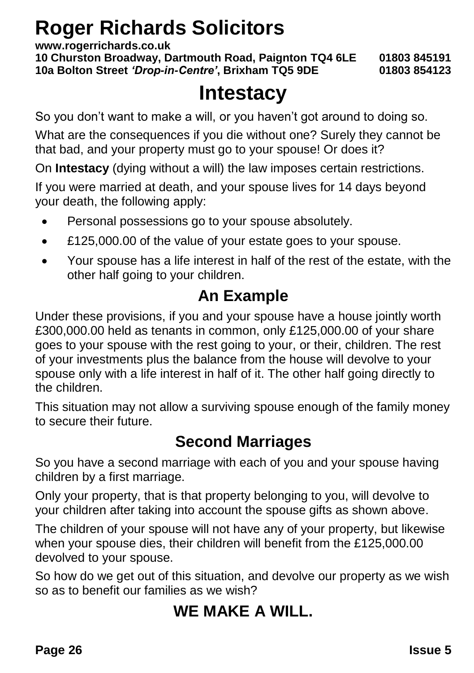## **Roger Richards Solicitors**

**www.rogerrichards.co.uk**

**10 Churston Broadway, Dartmouth Road, Paignton TQ4 6LE 01803 845191 10a Bolton Street** *'Drop-in-Centre'***, Brixham TQ5 9DE 01803 854123**

## **Intestacy**

So you don't want to make a will, or you haven't got around to doing so.

What are the consequences if you die without one? Surely they cannot be that bad, and your property must go to your spouse! Or does it?

On **Intestacy** (dying without a will) the law imposes certain restrictions.

If you were married at death, and your spouse lives for 14 days beyond your death, the following apply:

- Personal possessions go to your spouse absolutely.
- £125,000.00 of the value of your estate goes to your spouse.
- Your spouse has a life interest in half of the rest of the estate, with the other half going to your children.

#### **An Example**

Under these provisions, if you and your spouse have a house jointly worth £300,000.00 held as tenants in common, only £125,000.00 of your share goes to your spouse with the rest going to your, or their, children. The rest of your investments plus the balance from the house will devolve to your spouse only with a life interest in half of it. The other half going directly to the children.

This situation may not allow a surviving spouse enough of the family money to secure their future.

#### **Second Marriages**

So you have a second marriage with each of you and your spouse having children by a first marriage.

Only your property, that is that property belonging to you, will devolve to your children after taking into account the spouse gifts as shown above.

The children of your spouse will not have any of your property, but likewise when your spouse dies, their children will benefit from the £125,000.00 devolved to your spouse.

So how do we get out of this situation, and devolve our property as we wish so as to benefit our families as we wish?

### **WE MAKE A WILL.**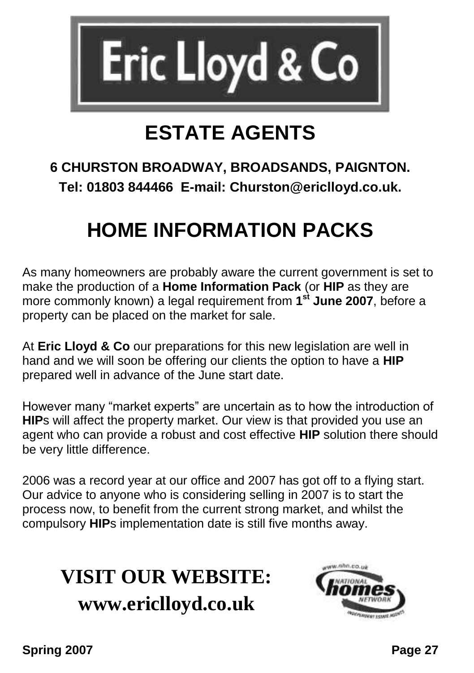

## **ESTATE AGENTS**

#### **6 CHURSTON BROADWAY, BROADSANDS, PAIGNTON. Tel: 01803 844466 E-mail: Churston@ericlloyd.co.uk.**

## **HOME INFORMATION PACKS**

As many homeowners are probably aware the current government is set to make the production of a **Home Information Pack** (or **HIP** as they are more commonly known) a legal requirement from **1 st June 2007**, before a property can be placed on the market for sale.

At **Eric Lloyd & Co** our preparations for this new legislation are well in hand and we will soon be offering our clients the option to have a **HIP** prepared well in advance of the June start date.

However many "market experts" are uncertain as to how the introduction of **HIP**s will affect the property market. Our view is that provided you use an agent who can provide a robust and cost effective **HIP** solution there should be very little difference.

2006 was a record year at our office and 2007 has got off to a flying start. Our advice to anyone who is considering selling in 2007 is to start the process now, to benefit from the current strong market, and whilst the compulsory **HIP**s implementation date is still five months away.

## **VISIT OUR WEBSITE: www.ericlloyd.co.uk**

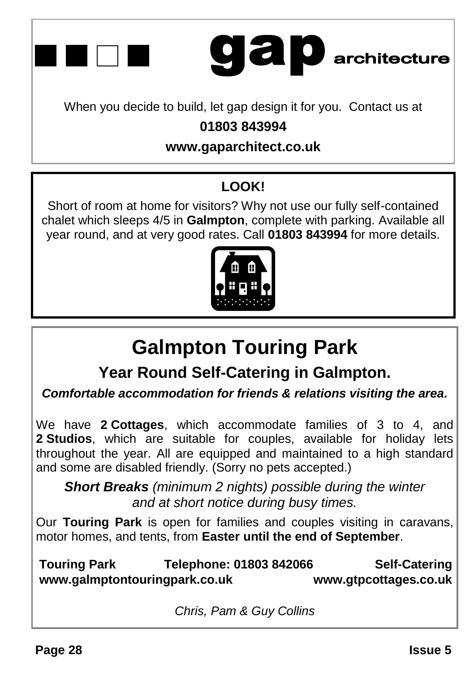

# **gap** architecture

When you decide to build, let gap design it for you. Contact us at

#### **01803 843994**

#### **www.gaparchitect.co.uk**

#### **LOOK!**

Short of room at home for visitors? Why not use our fully self-contained chalet which sleeps 4/5 in **Galmpton**, complete with parking. Available all year round, and at very good rates. Call **01803 843994** for more details.



## **Galmpton Touring Park**

**Year Round Self-Catering in Galmpton.**

*Comfortable accommodation for friends & relations visiting the area.*

We have **2 Cottages**, which accommodate families of 3 to 4, and **2 Studios**, which are suitable for couples, available for holiday lets throughout the year. All are equipped and maintained to a high standard and some are disabled friendly. (Sorry no pets accepted.)

*Short Breaks (minimum 2 nights) possible during the winter and at short notice during busy times.*

Our **Touring Park** is open for families and couples visiting in caravans, motor homes, and tents, from **Easter until the end of September**.

**Touring Park Telephone: 01803 842066 Self-Catering www.galmptontouringpark.co.uk www.gtpcottages.co.uk**

*Chris, Pam & Guy Collins*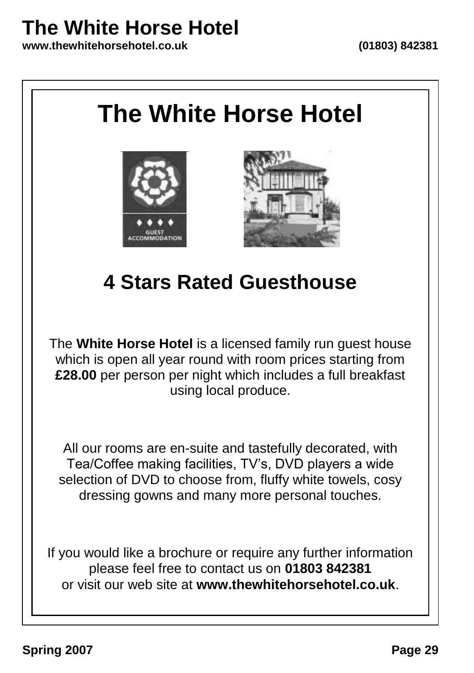## **The White Horse Hotel**

**www.thewhitehorsehotel.co.uk (01803) 842381**

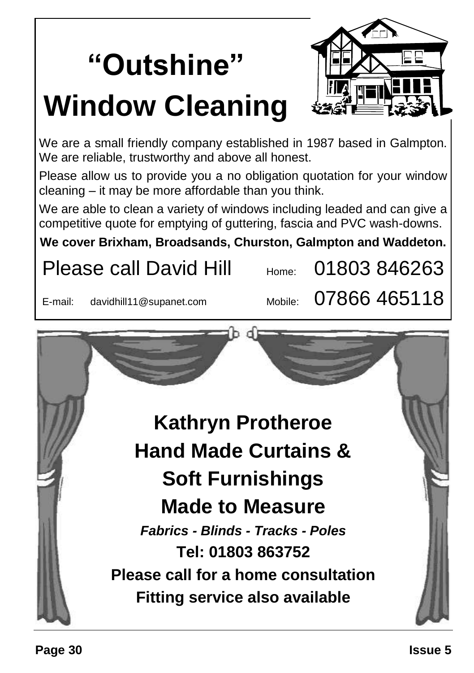# **"Outshine" Window Cleaning**



We are a small friendly company established in 1987 based in Galmpton. We are reliable, trustworthy and above all honest.

Please allow us to provide you a no obligation quotation for your window cleaning – it may be more affordable than you think.

We are able to clean a variety of windows including leaded and can give a competitive quote for emptying of guttering, fascia and PVC wash-downs.

**We cover Brixham, Broadsands, Churston, Galmpton and Waddeton.**

## Please call David Hill  $_{\text{Home}}$  01803 846263

E-mail: davidhill11@supanet.com Mobile:  $07866$  465118

 $\sqrt{2}$ **Kathryn Protheroe Hand Made Curtains & Soft Furnishings Made to Measure** *Fabrics - Blinds - Tracks - Poles* **Tel: 01803 863752 Please call for a home consultation**

**Fitting service also available**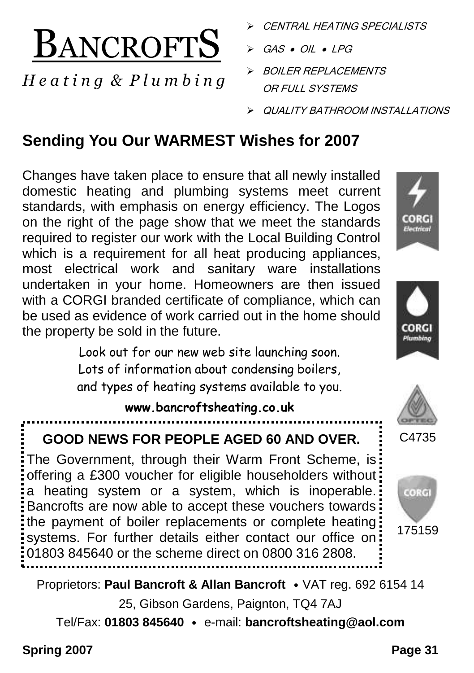

#### *H e a t i n g & P l u m b i n g*

- CENTRAL HEATING SPECIALISTS
- $GAS \bullet OIL \bullet LPG$
- BOILER REPLACEMENTS OR FULL SYSTEMS
- QUALITY BATHROOM INSTALLATIONS

### **Sending You Our WARMEST Wishes for 2007**

Changes have taken place to ensure that all newly installed domestic heating and plumbing systems meet current standards, with emphasis on energy efficiency. The Logos on the right of the page show that we meet the standards required to register our work with the Local Building Control which is a requirement for all heat producing appliances, most electrical work and sanitary ware installations undertaken in your home. Homeowners are then issued with a CORGI branded certificate of compliance, which can be used as evidence of work carried out in the home should the property be sold in the future.

> Look out for our new web site launching soon. Lots of information about condensing boilers, and types of heating systems available to you.

#### **www.bancroftsheating.co.uk**

#### **GOOD NEWS FOR PEOPLE AGED 60 AND OVER.**

The Government, through their Warm Front Scheme, is: offering a £300 voucher for eligible householders without a heating system or a system, which is inoperable. Bancrofts are now able to accept these vouchers towards the payment of boiler replacements or complete heating systems. For further details either contact our office on 01803 845640 or the scheme direct on 0800 316 2808.



C<sub>4735</sub>

Proprietors: **Paul Bancroft & Allan Bancroft** • VAT reg. 692 6154 14

25, Gibson Gardens, Paignton, TQ4 7AJ

Tel/Fax: **01803 845640** • e-mail: **bancroftsheating@aol.com**